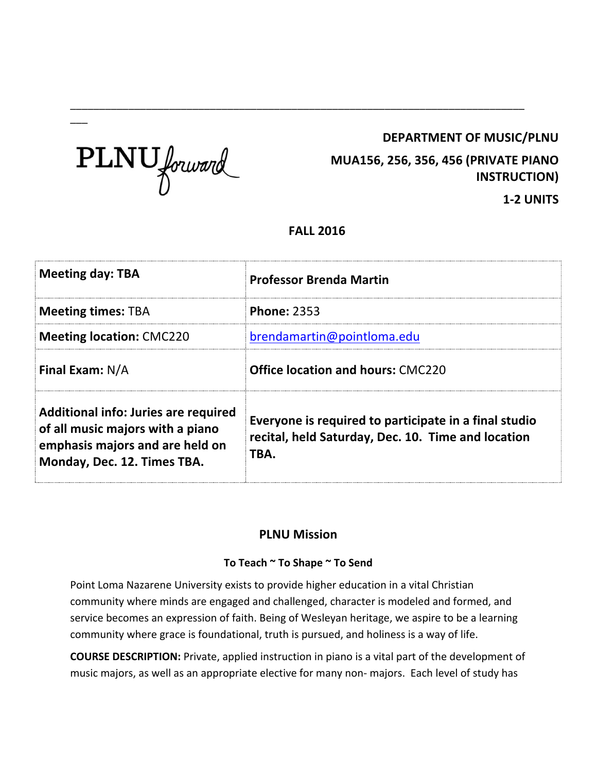## **DEPARTMENT OF MUSIC/PLNU**



 $\overline{\phantom{a}}$ 

**MUA156, 256, 356, 456 (PRIVATE PIANO INSTRUCTION)**

**1-2 UNITS**

# **FALL 2016**

\_\_\_\_\_\_\_\_\_\_\_\_\_\_\_\_\_\_\_\_\_\_\_\_\_\_\_\_\_\_\_\_\_\_\_\_\_\_\_\_\_\_\_\_\_\_\_\_\_\_\_\_\_\_\_\_\_\_\_\_\_\_\_\_\_\_\_\_\_\_\_\_\_\_\_\_\_\_

| <b>Meeting day: TBA</b>                                                                                                                           | <b>Professor Brenda Martin</b>                                                                                      |  |
|---------------------------------------------------------------------------------------------------------------------------------------------------|---------------------------------------------------------------------------------------------------------------------|--|
| <b>Meeting times: TBA</b>                                                                                                                         | <b>Phone: 2353</b>                                                                                                  |  |
| <b>Meeting location: CMC220</b>                                                                                                                   | brendamartin@pointloma.edu                                                                                          |  |
| <b>Final Exam: N/A</b>                                                                                                                            | <b>Office location and hours: CMC220</b>                                                                            |  |
| <b>Additional info: Juries are required</b><br>of all music majors with a piano<br>emphasis majors and are held on<br>Monday, Dec. 12. Times TBA. | Everyone is required to participate in a final studio<br>recital, held Saturday, Dec. 10. Time and location<br>TBA. |  |

# **PLNU Mission**

### **To Teach ~ To Shape ~ To Send**

Point Loma Nazarene University exists to provide higher education in a vital Christian community where minds are engaged and challenged, character is modeled and formed, and service becomes an expression of faith. Being of Wesleyan heritage, we aspire to be a learning community where grace is foundational, truth is pursued, and holiness is a way of life.

**COURSE DESCRIPTION:** Private, applied instruction in piano is a vital part of the development of music majors, as well as an appropriate elective for many non- majors. Each level of study has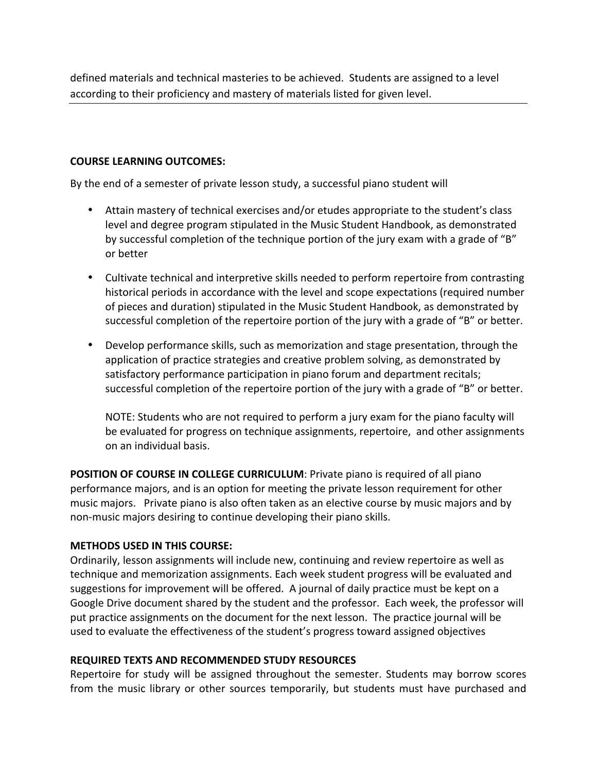defined materials and technical masteries to be achieved. Students are assigned to a level according to their proficiency and mastery of materials listed for given level.

#### **COURSE LEARNING OUTCOMES:**

By the end of a semester of private lesson study, a successful piano student will

- Attain mastery of technical exercises and/or etudes appropriate to the student's class level and degree program stipulated in the Music Student Handbook, as demonstrated by successful completion of the technique portion of the jury exam with a grade of "B" or better
- Cultivate technical and interpretive skills needed to perform repertoire from contrasting historical periods in accordance with the level and scope expectations (required number of pieces and duration) stipulated in the Music Student Handbook, as demonstrated by successful completion of the repertoire portion of the jury with a grade of "B" or better.
- Develop performance skills, such as memorization and stage presentation, through the application of practice strategies and creative problem solving, as demonstrated by satisfactory performance participation in piano forum and department recitals; successful completion of the repertoire portion of the jury with a grade of "B" or better.

NOTE: Students who are not required to perform a jury exam for the piano faculty will be evaluated for progress on technique assignments, repertoire, and other assignments on an individual basis.

**POSITION OF COURSE IN COLLEGE CURRICULUM**: Private piano is required of all piano performance majors, and is an option for meeting the private lesson requirement for other music majors. Private piano is also often taken as an elective course by music majors and by non-music majors desiring to continue developing their piano skills. 

#### **METHODS USED IN THIS COURSE:**

Ordinarily, lesson assignments will include new, continuing and review repertoire as well as technique and memorization assignments. Each week student progress will be evaluated and suggestions for improvement will be offered. A journal of daily practice must be kept on a Google Drive document shared by the student and the professor. Each week, the professor will put practice assignments on the document for the next lesson. The practice journal will be used to evaluate the effectiveness of the student's progress toward assigned objectives

#### **REQUIRED TEXTS AND RECOMMENDED STUDY RESOURCES**

Repertoire for study will be assigned throughout the semester. Students may borrow scores from the music library or other sources temporarily, but students must have purchased and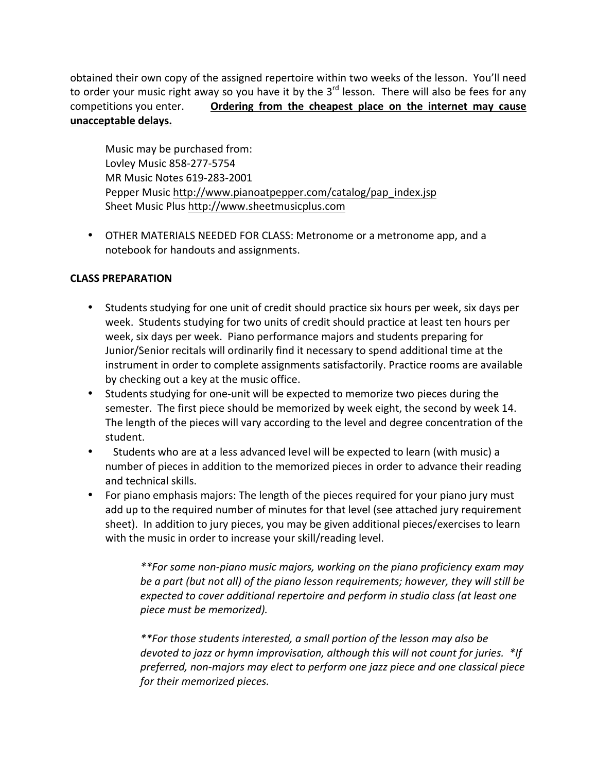obtained their own copy of the assigned repertoire within two weeks of the lesson. You'll need to order your music right away so you have it by the  $3<sup>rd</sup>$  lesson. There will also be fees for any competitions you enter. **Ordering from the cheapest place on the internet may cause unacceptable delays.** 

Music may be purchased from: Lovley Music 858-277-5754 MR Music Notes 619-283-2001 Pepper Music http://www.pianoatpepper.com/catalog/pap\_index.jsp Sheet Music Plus http://www.sheetmusicplus.com

• OTHER MATERIALS NEEDED FOR CLASS: Metronome or a metronome app, and a notebook for handouts and assignments.

### **CLASS PREPARATION**

- Students studying for one unit of credit should practice six hours per week, six days per week. Students studying for two units of credit should practice at least ten hours per week, six days per week. Piano performance majors and students preparing for Junior/Senior recitals will ordinarily find it necessary to spend additional time at the instrument in order to complete assignments satisfactorily. Practice rooms are available by checking out a key at the music office.
- Students studying for one-unit will be expected to memorize two pieces during the semester. The first piece should be memorized by week eight, the second by week 14. The length of the pieces will vary according to the level and degree concentration of the student.
- Students who are at a less advanced level will be expected to learn (with music) a number of pieces in addition to the memorized pieces in order to advance their reading and technical skills.
- For piano emphasis majors: The length of the pieces required for your piano jury must add up to the required number of minutes for that level (see attached jury requirement sheet). In addition to jury pieces, you may be given additional pieces/exercises to learn with the music in order to increase your skill/reading level.

*\*\*For some non-piano music majors, working on the piano proficiency exam may be a part (but not all) of the piano lesson requirements; however, they will still be expected to cover additional repertoire and perform in studio class (at least one piece must be memorized).*

*\*\*For those students interested, a small portion of the lesson may also be devoted to jazz or hymn improvisation, although this will not count for juries. \*If preferred, non-majors may elect to perform one jazz piece and one classical piece for their memorized pieces.*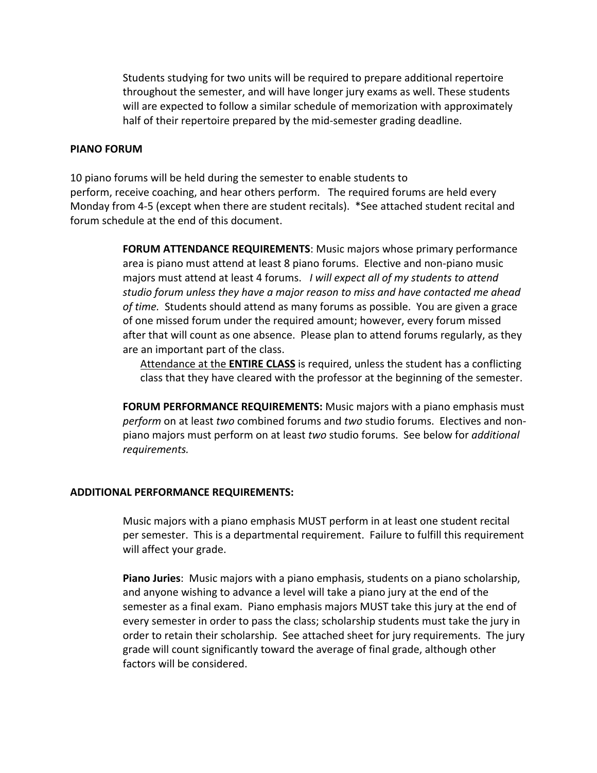Students studying for two units will be required to prepare additional repertoire throughout the semester, and will have longer jury exams as well. These students will are expected to follow a similar schedule of memorization with approximately half of their repertoire prepared by the mid-semester grading deadline.

#### **PIANO FORUM**

10 piano forums will be held during the semester to enable students to perform, receive coaching, and hear others perform. The required forums are held every Monday from 4-5 (except when there are student recitals). \*See attached student recital and forum schedule at the end of this document. 

> **FORUM ATTENDANCE REQUIREMENTS**: Music majors whose primary performance area is piano must attend at least 8 piano forums. Elective and non-piano music majors must attend at least 4 forums. *I will expect all of my students to attend studio forum unless they have a major reason to miss and have contacted me ahead of time.* Students should attend as many forums as possible. You are given a grace of one missed forum under the required amount; however, every forum missed after that will count as one absence. Please plan to attend forums regularly, as they are an important part of the class.

Attendance at the **ENTIRE CLASS** is required, unless the student has a conflicting class that they have cleared with the professor at the beginning of the semester. 

**FORUM PERFORMANCE REQUIREMENTS:** Music majors with a piano emphasis must *perform* on at least *two* combined forums and *two* studio forums. Electives and nonpiano majors must perform on at least *two* studio forums. See below for *additional requirements.*

#### **ADDITIONAL PERFORMANCE REQUIREMENTS:**

Music majors with a piano emphasis MUST perform in at least one student recital per semester. This is a departmental requirement. Failure to fulfill this requirement will affect your grade.

**Piano Juries**: Music majors with a piano emphasis, students on a piano scholarship, and anyone wishing to advance a level will take a piano jury at the end of the semester as a final exam. Piano emphasis majors MUST take this jury at the end of every semester in order to pass the class; scholarship students must take the jury in order to retain their scholarship. See attached sheet for jury requirements. The jury grade will count significantly toward the average of final grade, although other factors will be considered.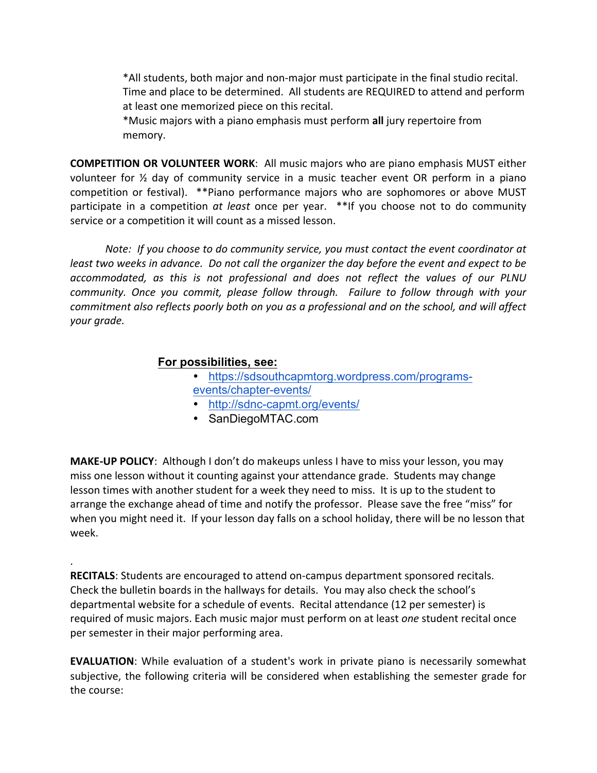\*All students, both major and non-major must participate in the final studio recital. Time and place to be determined. All students are REQUIRED to attend and perform at least one memorized piece on this recital. 

\*Music majors with a piano emphasis must perform **all** jury repertoire from memory. 

**COMPETITION OR VOLUNTEER WORK**: All music majors who are piano emphasis MUST either volunteer for ½ day of community service in a music teacher event OR perform in a piano competition or festival). \*\*Piano performance majors who are sophomores or above MUST participate in a competition *at least* once per year. \*\*If you choose not to do community service or a competition it will count as a missed lesson.

*Note: If you choose to do community service, you must contact the event coordinator at least two weeks in advance. Do not call the organizer the day before the event and expect to be accommodated, as this is not professional and does not reflect the values of our PLNU community. Once you commit, please follow through. Failure to follow through with your commitment also reflects poorly both on you as a professional and on the school, and will affect your grade.* 

## **For possibilities, see:**

.

- https://sdsouthcapmtorg.wordpress.com/programsevents/chapter-events/
- http://sdnc-capmt.org/events/
- SanDiegoMTAC.com

**MAKE-UP POLICY**: Although I don't do makeups unless I have to miss your lesson, you may miss one lesson without it counting against your attendance grade. Students may change lesson times with another student for a week they need to miss. It is up to the student to arrange the exchange ahead of time and notify the professor. Please save the free "miss" for when you might need it. If your lesson day falls on a school holiday, there will be no lesson that week.

**RECITALS**: Students are encouraged to attend on-campus department sponsored recitals. Check the bulletin boards in the hallways for details. You may also check the school's departmental website for a schedule of events. Recital attendance (12 per semester) is required of music majors. Each music major must perform on at least *one* student recital once per semester in their major performing area.

**EVALUATION**: While evaluation of a student's work in private piano is necessarily somewhat subjective, the following criteria will be considered when establishing the semester grade for the course: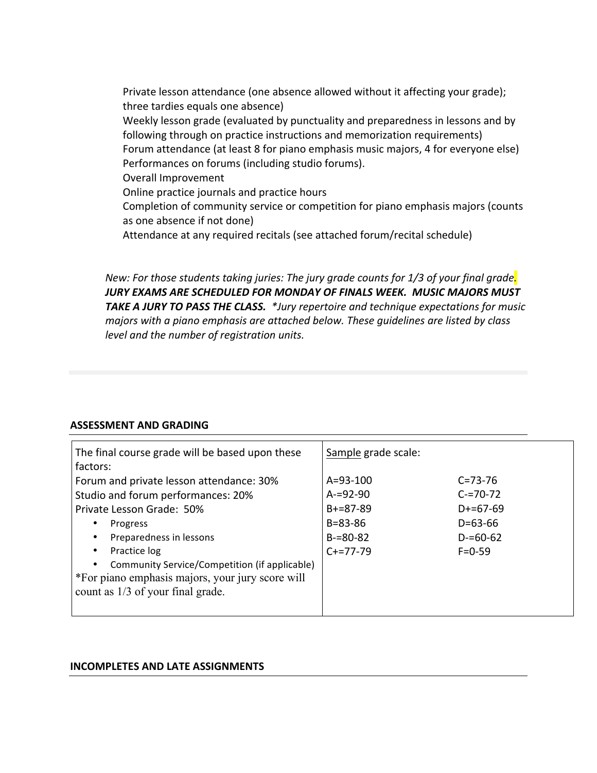Private lesson attendance (one absence allowed without it affecting your grade); three tardies equals one absence) Weekly lesson grade (evaluated by punctuality and preparedness in lessons and by following through on practice instructions and memorization requirements) Forum attendance (at least 8 for piano emphasis music majors, 4 for everyone else) Performances on forums (including studio forums). Overall Improvement Online practice journals and practice hours Completion of community service or competition for piano emphasis majors (counts as one absence if not done) Attendance at any required recitals (see attached forum/recital schedule)

*New: For those students taking juries: The jury grade counts for 1/3 of your final grade. JURY EXAMS ARE SCHEDULED FOR MONDAY OF FINALS WEEK. MUSIC MAJORS MUST TAKE A JURY TO PASS THE CLASS. \*Jury repertoire and technique expectations for music majors with a piano emphasis are attached below. These guidelines are listed by class level and the number of registration units.*

#### **ASSESSMENT AND GRADING**

| The final course grade will be based upon these<br>factors:                                                    | Sample grade scale:             |                              |
|----------------------------------------------------------------------------------------------------------------|---------------------------------|------------------------------|
| Forum and private lesson attendance: 30%<br>Studio and forum performances: 20%                                 | $A = 93 - 100$<br>$A = 92 - 90$ | $C = 73 - 76$<br>$C = 70-72$ |
| Private Lesson Grade: 50%                                                                                      | $B + = 87 - 89$                 | $D+ = 67-69$                 |
| Progress<br>$\bullet$                                                                                          | $B = 83 - 86$                   | $D = 63 - 66$                |
| Preparedness in lessons<br>$\bullet$                                                                           | $B = 80 - 82$                   | $D = 60 - 62$                |
| Practice log<br>$\bullet$                                                                                      | $C+=77-79$                      | $F = 0.59$                   |
| Community Service/Competition (if applicable)<br>$\bullet$<br>*For piano emphasis majors, your jury score will |                                 |                              |
| count as 1/3 of your final grade.                                                                              |                                 |                              |
|                                                                                                                |                                 |                              |

#### **INCOMPLETES AND LATE ASSIGNMENTS**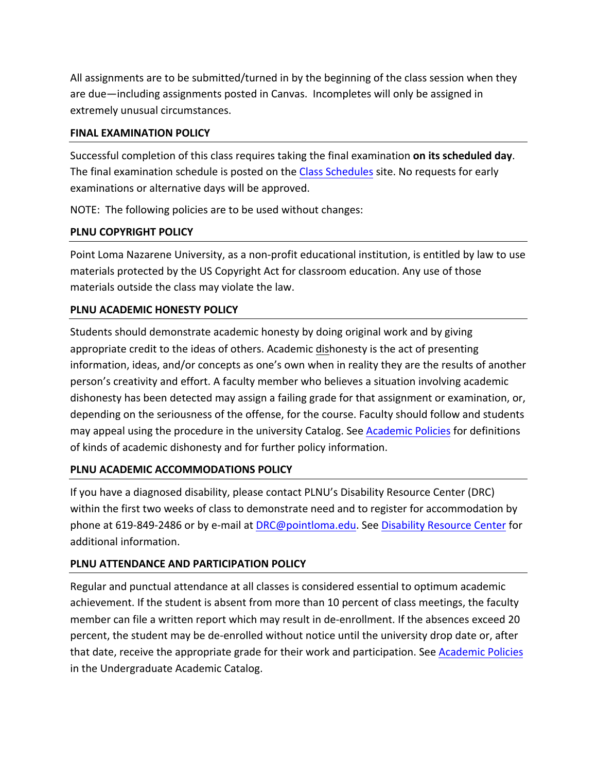All assignments are to be submitted/turned in by the beginning of the class session when they are due—including assignments posted in Canvas. Incompletes will only be assigned in extremely unusual circumstances.

#### **FINAL EXAMINATION POLICY**

Successful completion of this class requires taking the final examination **on its scheduled day**. The final examination schedule is posted on the Class Schedules site. No requests for early examinations or alternative days will be approved.

NOTE: The following policies are to be used without changes:

### **PLNU COPYRIGHT POLICY**

Point Loma Nazarene University, as a non-profit educational institution, is entitled by law to use materials protected by the US Copyright Act for classroom education. Any use of those materials outside the class may violate the law.

## **PLNU ACADEMIC HONESTY POLICY**

Students should demonstrate academic honesty by doing original work and by giving appropriate credit to the ideas of others. Academic dishonesty is the act of presenting information, ideas, and/or concepts as one's own when in reality they are the results of another person's creativity and effort. A faculty member who believes a situation involving academic dishonesty has been detected may assign a failing grade for that assignment or examination, or, depending on the seriousness of the offense, for the course. Faculty should follow and students may appeal using the procedure in the university Catalog. See Academic Policies for definitions of kinds of academic dishonesty and for further policy information.

### **PLNU ACADEMIC ACCOMMODATIONS POLICY**

If you have a diagnosed disability, please contact PLNU's Disability Resource Center (DRC) within the first two weeks of class to demonstrate need and to register for accommodation by phone at 619-849-2486 or by e-mail at DRC@pointloma.edu. See Disability Resource Center for additional information.

# **PLNU ATTENDANCE AND PARTICIPATION POLICY**

Regular and punctual attendance at all classes is considered essential to optimum academic achievement. If the student is absent from more than 10 percent of class meetings, the faculty member can file a written report which may result in de-enrollment. If the absences exceed 20 percent, the student may be de-enrolled without notice until the university drop date or, after that date, receive the appropriate grade for their work and participation. See Academic Policies in the Undergraduate Academic Catalog.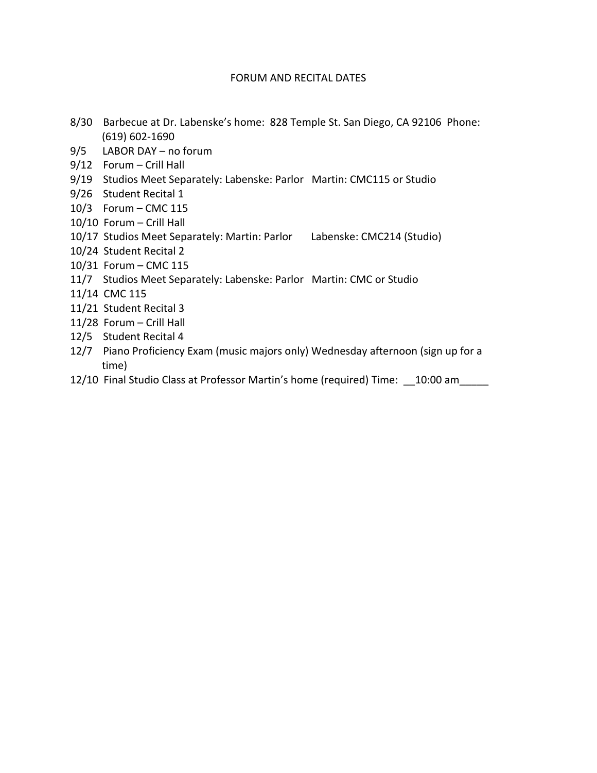#### FORUM AND RECITAL DATES

- 8/30 Barbecue at Dr. Labenske's home: 828 Temple St. San Diego, CA 92106 Phone: (619) 602-1690
- 9/5 LABOR DAY no forum
- $9/12$  Forum Crill Hall
- 9/19 Studios Meet Separately: Labenske: Parlor Martin: CMC115 or Studio
- 9/26 Student Recital 1
- 10/3 Forum CMC 115
- 10/10 Forum Crill Hall
- 10/17 Studios Meet Separately: Martin: Parlor Labenske: CMC214 (Studio)
- 10/24 Student Recital 2
- 10/31 Forum CMC 115
- 11/7 Studios Meet Separately: Labenske: Parlor Martin: CMC or Studio
- 11/14 CMC 115
- 11/21 Student Recital 3
- 11/28 Forum Crill Hall
- 12/5 Student Recital 4
- 12/7 Piano Proficiency Exam (music majors only) Wednesday afternoon (sign up for a time)
- 12/10 Final Studio Class at Professor Martin's home (required) Time: 10:00 am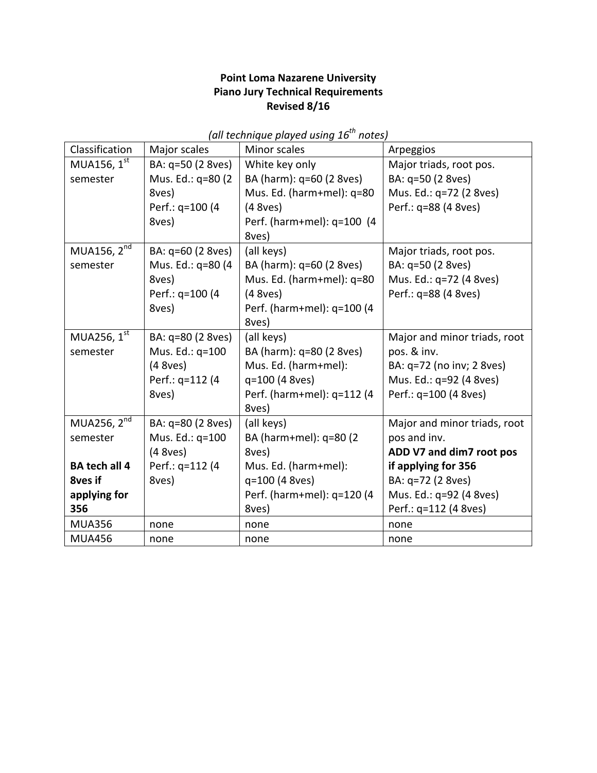## **Point Loma Nazarene University Piano Jury Technical Requirements Revised 8/16**

| Classification          | Major scales      | Minor scales               | Arpeggios                    |
|-------------------------|-------------------|----------------------------|------------------------------|
| MUA156, 1 <sup>st</sup> | BA: q=50 (2 8ves) | White key only             | Major triads, root pos.      |
| semester                | Mus. Ed.: q=80 (2 | BA (harm): q=60 (2 8ves)   | BA: q=50 (2 8ves)            |
|                         | 8ves)             | Mus. Ed. (harm+mel): q=80  | Mus. Ed.: q=72 (2 8ves)      |
|                         | Perf.: q=100 (4   | (4 8 ves)                  | Perf.: q=88 (4 8ves)         |
|                         | 8ves)             | Perf. (harm+mel): q=100 (4 |                              |
|                         |                   | 8ves)                      |                              |
| MUA156, $2nd$           | BA: q=60 (2 8ves) | (all keys)                 | Major triads, root pos.      |
| semester                | Mus. Ed.: q=80 (4 | BA (harm): q=60 (2 8ves)   | BA: q=50 (2 8ves)            |
|                         | 8ves)             | Mus. Ed. (harm+mel): q=80  | Mus. Ed.: q=72 (4 8ves)      |
|                         | Perf.: q=100 (4   | (4 8 ves)                  | Perf.: q=88 (4 8ves)         |
|                         | 8ves)             | Perf. (harm+mel): q=100 (4 |                              |
|                         |                   | 8ves)                      |                              |
| MUA256, 1 <sup>st</sup> | BA: q=80 (2 8ves) | (all keys)                 | Major and minor triads, root |
| semester                | Mus. Ed.: q=100   | BA (harm): q=80 (2 8ves)   | pos. & inv.                  |
|                         | (4 8 ves)         | Mus. Ed. (harm+mel):       | BA: q=72 (no inv; 2 8ves)    |
|                         | Perf.: q=112 (4   | q=100 (4 8ves)             | Mus. Ed.: q=92 (4 8ves)      |
|                         | 8ves)             | Perf. (harm+mel): q=112 (4 | Perf.: q=100 (4 8ves)        |
|                         |                   | 8ves)                      |                              |
| MUA256, 2 <sup>nd</sup> | BA: q=80 (2 8ves) | (all keys)                 | Major and minor triads, root |
| semester                | Mus. Ed.: q=100   | BA (harm+mel): q=80 (2     | pos and inv.                 |
|                         | (4 8 ves)         | 8ves)                      | ADD V7 and dim7 root pos     |
| <b>BA tech all 4</b>    | Perf.: q=112 (4   | Mus. Ed. (harm+mel):       | if applying for 356          |
| <b>8ves if</b>          | 8ves)             | q=100 (4 8ves)             | BA: q=72 (2 8ves)            |
| applying for            |                   | Perf. (harm+mel): q=120 (4 | Mus. Ed.: q=92 (4 8ves)      |
| 356                     |                   | 8ves)                      | Perf.: q=112 (4 8ves)        |
| <b>MUA356</b>           | none              | none                       | none                         |
| <b>MUA456</b>           | none              | none                       | none                         |

*(all technique played using 16th notes)*